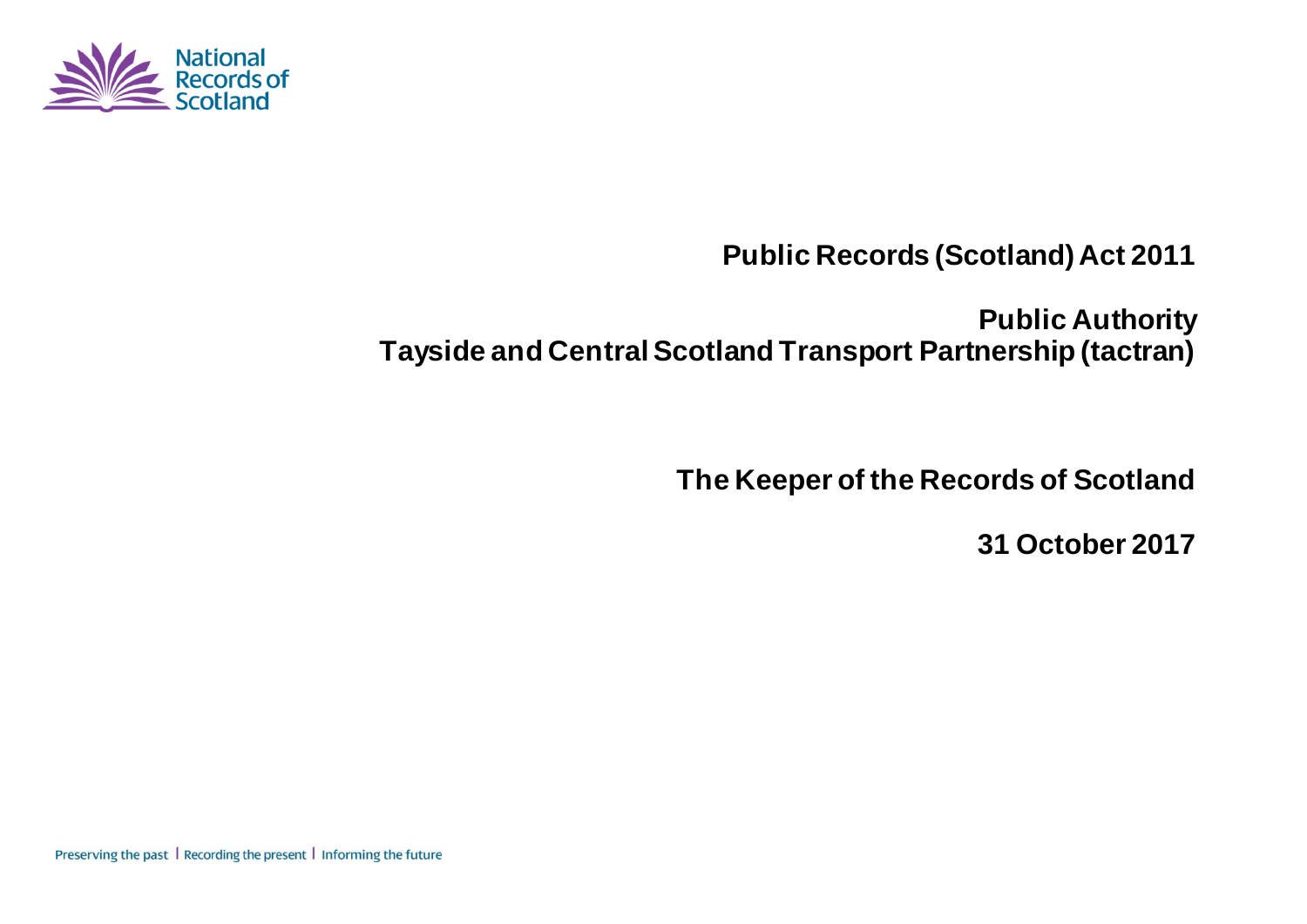

**Public Records (Scotland) Act 2011**

**Public Authority Tayside and Central Scotland Transport Partnership (tactran)**

**The Keeper of the Records of Scotland**

**31 October 2017**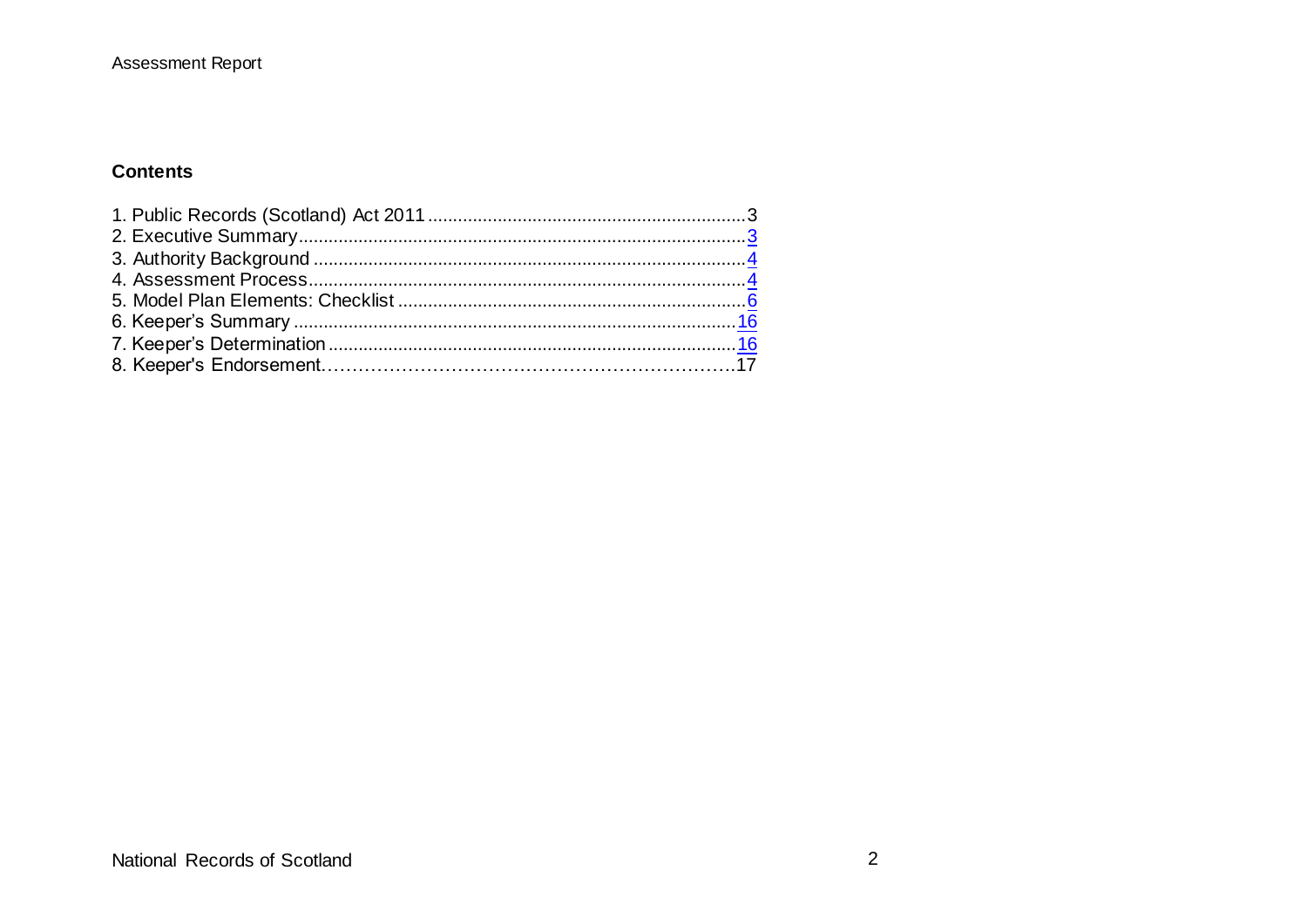#### **Contents**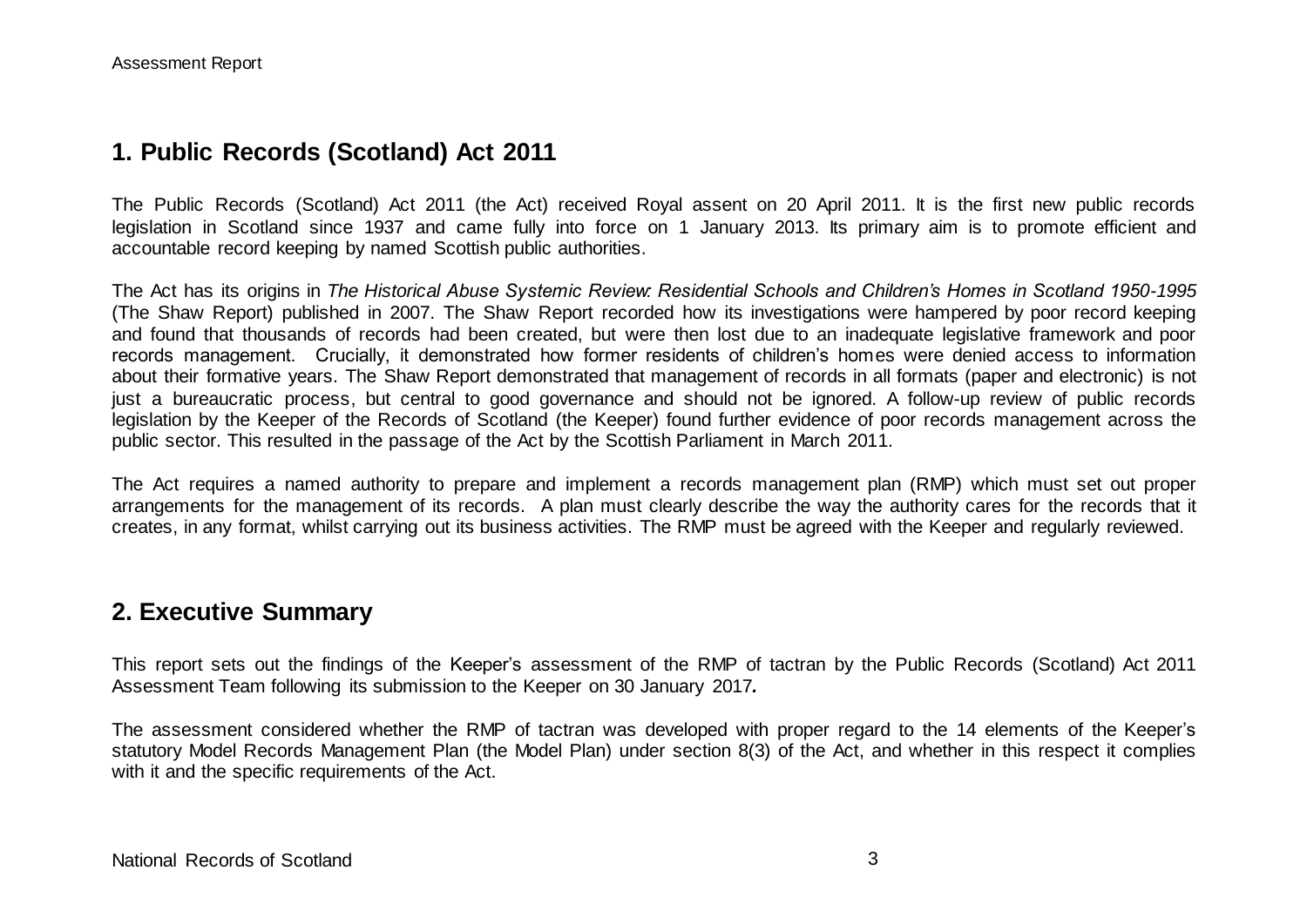## **1. Public Records (Scotland) Act 2011**

The Public Records (Scotland) Act 2011 (the Act) received Royal assent on 20 April 2011. It is the first new public records legislation in Scotland since 1937 and came fully into force on 1 January 2013. Its primary aim is to promote efficient and accountable record keeping by named Scottish public authorities.

The Act has its origins in *The Historical Abuse Systemic Review: Residential Schools and Children's Homes in Scotland 1950-1995* (The Shaw Report) published in 2007. The Shaw Report recorded how its investigations were hampered by poor record keeping and found that thousands of records had been created, but were then lost due to an inadequate legislative framework and poor records management. Crucially, it demonstrated how former residents of children's homes were denied access to information about their formative years. The Shaw Report demonstrated that management of records in all formats (paper and electronic) is not just a bureaucratic process, but central to good governance and should not be ignored. A follow-up review of public records legislation by the Keeper of the Records of Scotland (the Keeper) found further evidence of poor records management across the public sector. This resulted in the passage of the Act by the Scottish Parliament in March 2011.

The Act requires a named authority to prepare and implement a records management plan (RMP) which must set out proper arrangements for the management of its records. A plan must clearly describe the way the authority cares for the records that it creates, in any format, whilst carrying out its business activities. The RMP must be agreed with the Keeper and regularly reviewed.

### **2. Executive Summary**

This report sets out the findings of the Keeper's assessment of the RMP of tactran by the Public Records (Scotland) Act 2011 Assessment Team following its submission to the Keeper on 30 January 2017*.*

The assessment considered whether the RMP of tactran was developed with proper regard to the 14 elements of the Keeper's statutory Model Records Management Plan (the Model Plan) under section 8(3) of the Act, and whether in this respect it complies with it and the specific requirements of the Act.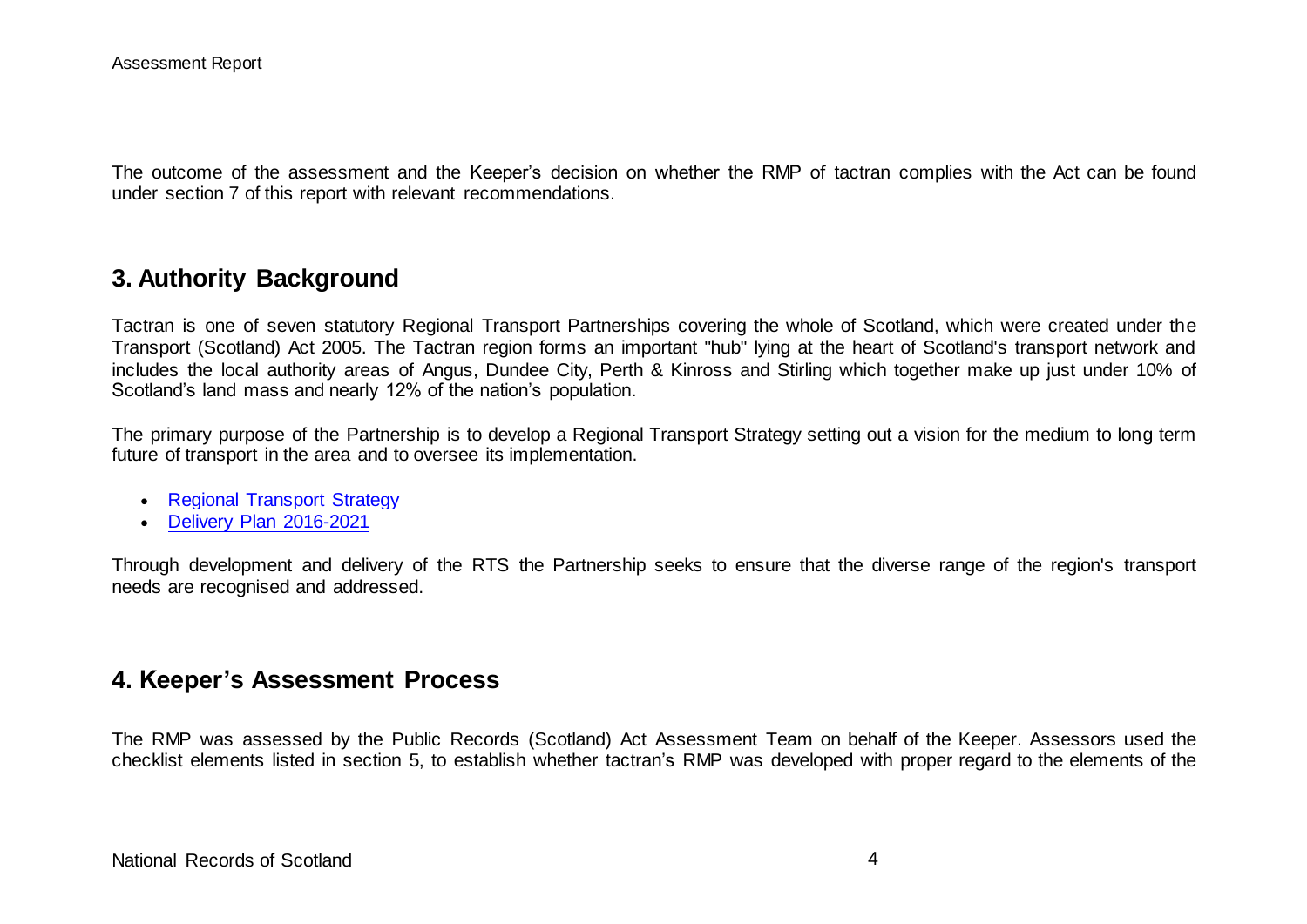The outcome of the assessment and the Keeper's decision on whether the RMP of tactran complies with the Act can be found under section 7 of this report with relevant recommendations.

## **3. Authority Background**

Tactran is one of seven statutory Regional Transport Partnerships covering the whole of Scotland, which were created under the Transport (Scotland) Act 2005. The Tactran region forms an important "hub" lying at the heart of Scotland's transport network and includes the local authority areas of Angus, Dundee City, Perth & Kinross and Stirling which together make up just under 10% of Scotland's land mass and nearly 12% of the nation's population.

The primary purpose of the Partnership is to develop a Regional Transport Strategy setting out a vision for the medium to long term future of transport in the area and to oversee its implementation.

- [Regional Transport Strategy](http://www.tactran.gov.uk/strategy.html)
- [Delivery Plan 2016-2021](http://www.tactran.gov.uk/projects.html)

Through development and delivery of the RTS the Partnership seeks to ensure that the diverse range of the region's transport needs are recognised and addressed.

## **4. Keeper's Assessment Process**

The RMP was assessed by the Public Records (Scotland) Act Assessment Team on behalf of the Keeper. Assessors used the checklist elements listed in section 5, to establish whether tactran's RMP was developed with proper regard to the elements of the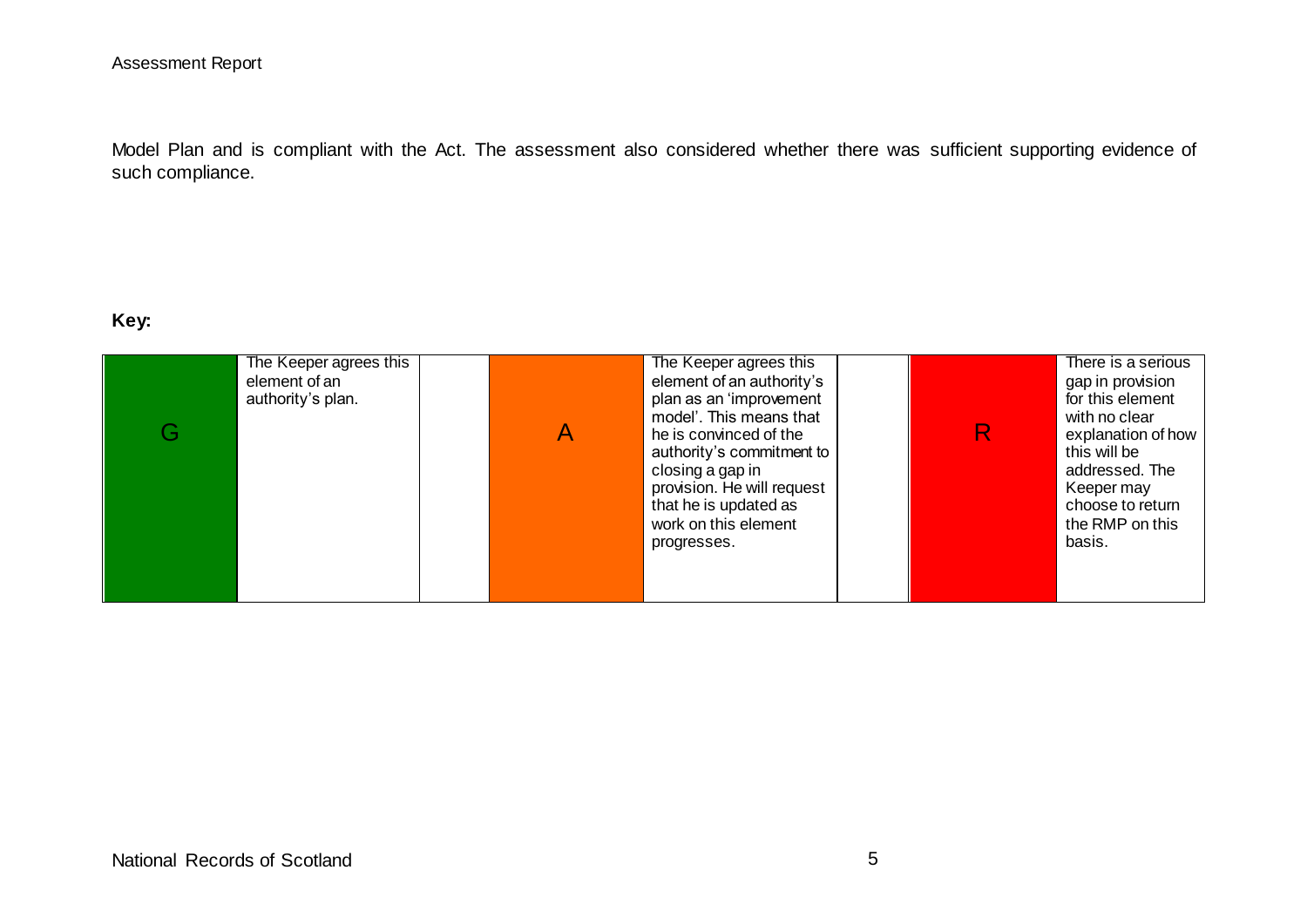Model Plan and is compliant with the Act. The assessment also considered whether there was sufficient supporting evidence of such compliance.

#### **Key:**

| The Keeper agrees this<br>element of an<br>authority's plan.<br>G | The Keeper agrees this<br>element of an authority's<br>plan as an 'improvement<br>model'. This means that<br>he is convinced of the<br>authority's commitment to<br>closing a gap in<br>provision. He will request<br>that he is updated as<br>work on this element<br>progresses. | with no clear<br>this will be<br>Keeper may<br>basis. | There is a serious<br>gap in provision<br>for this element<br>explanation of how<br>addressed. The<br>choose to return<br>the RMP on this |
|-------------------------------------------------------------------|------------------------------------------------------------------------------------------------------------------------------------------------------------------------------------------------------------------------------------------------------------------------------------|-------------------------------------------------------|-------------------------------------------------------------------------------------------------------------------------------------------|
|-------------------------------------------------------------------|------------------------------------------------------------------------------------------------------------------------------------------------------------------------------------------------------------------------------------------------------------------------------------|-------------------------------------------------------|-------------------------------------------------------------------------------------------------------------------------------------------|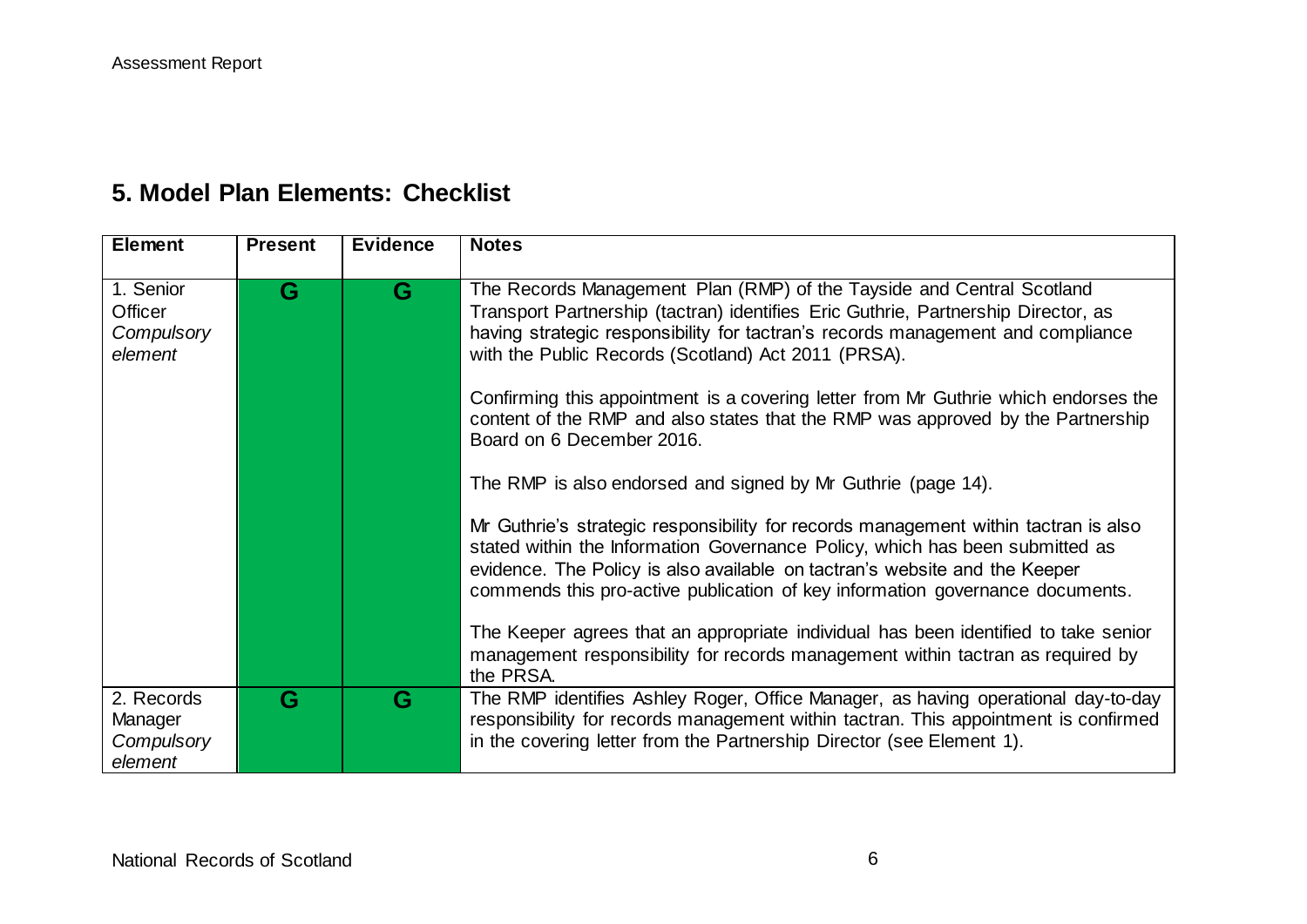# **5. Model Plan Elements: Checklist**

| <b>Element</b>                                 | <b>Present</b> | <b>Evidence</b> | <b>Notes</b>                                                                                                                                                                                                                                                                                                                                                                                                                                                                                                                                                                                                                                                                                                                                                                                                                                                                                                                                                                                                                                                                               |
|------------------------------------------------|----------------|-----------------|--------------------------------------------------------------------------------------------------------------------------------------------------------------------------------------------------------------------------------------------------------------------------------------------------------------------------------------------------------------------------------------------------------------------------------------------------------------------------------------------------------------------------------------------------------------------------------------------------------------------------------------------------------------------------------------------------------------------------------------------------------------------------------------------------------------------------------------------------------------------------------------------------------------------------------------------------------------------------------------------------------------------------------------------------------------------------------------------|
| 1. Senior<br>Officer<br>Compulsory<br>element  | G              | G               | The Records Management Plan (RMP) of the Tayside and Central Scotland<br>Transport Partnership (tactran) identifies Eric Guthrie, Partnership Director, as<br>having strategic responsibility for tactran's records management and compliance<br>with the Public Records (Scotland) Act 2011 (PRSA).<br>Confirming this appointment is a covering letter from Mr Guthrie which endorses the<br>content of the RMP and also states that the RMP was approved by the Partnership<br>Board on 6 December 2016.<br>The RMP is also endorsed and signed by Mr Guthrie (page 14).<br>Mr Guthrie's strategic responsibility for records management within tactran is also<br>stated within the Information Governance Policy, which has been submitted as<br>evidence. The Policy is also available on tactran's website and the Keeper<br>commends this pro-active publication of key information governance documents.<br>The Keeper agrees that an appropriate individual has been identified to take senior<br>management responsibility for records management within tactran as required by |
|                                                |                |                 | the PRSA.                                                                                                                                                                                                                                                                                                                                                                                                                                                                                                                                                                                                                                                                                                                                                                                                                                                                                                                                                                                                                                                                                  |
| 2. Records<br>Manager<br>Compulsory<br>element | G              | G               | The RMP identifies Ashley Roger, Office Manager, as having operational day-to-day<br>responsibility for records management within tactran. This appointment is confirmed<br>in the covering letter from the Partnership Director (see Element 1).                                                                                                                                                                                                                                                                                                                                                                                                                                                                                                                                                                                                                                                                                                                                                                                                                                          |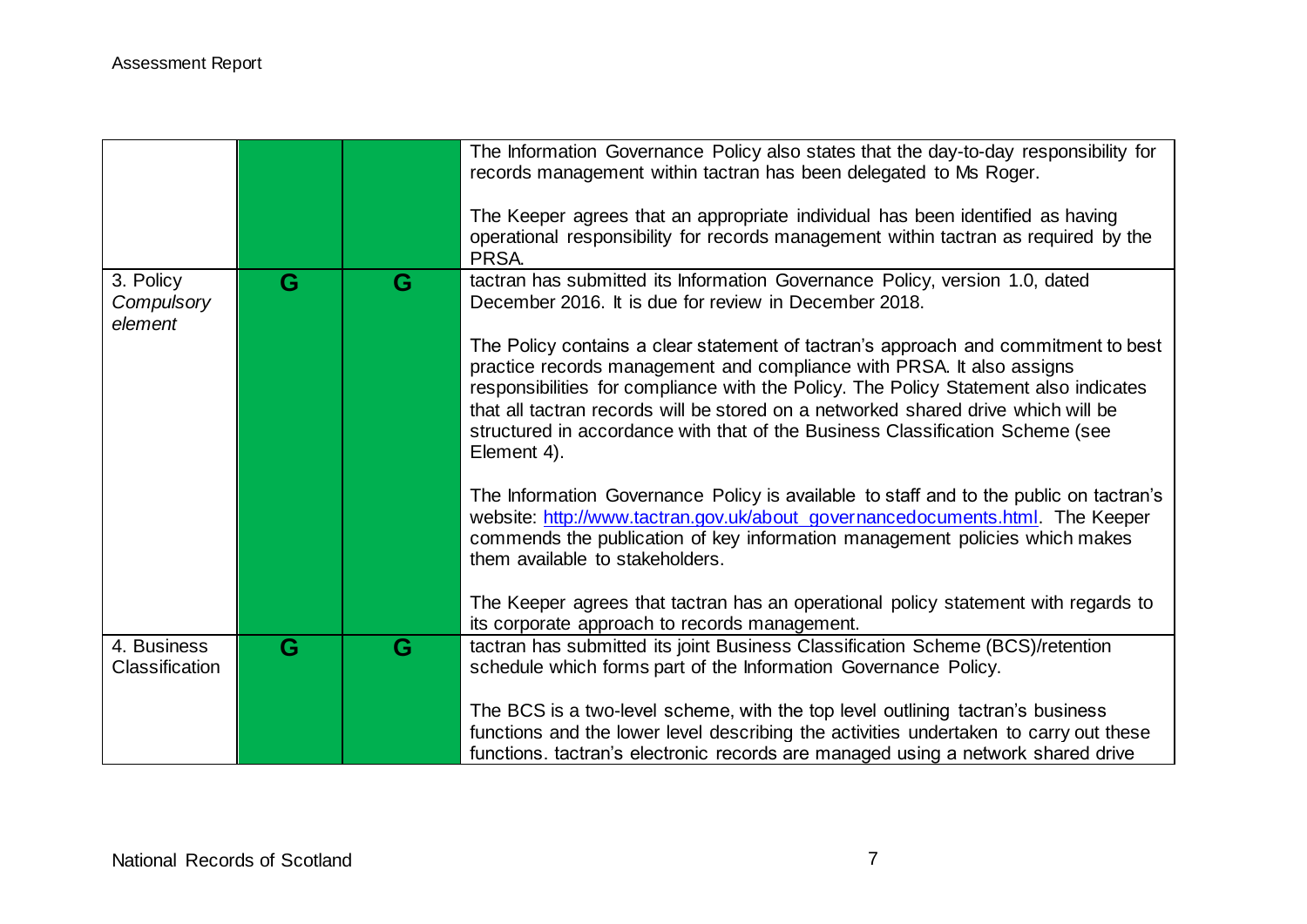|                                    |   |   | The Information Governance Policy also states that the day-to-day responsibility for<br>records management within tactran has been delegated to Ms Roger.<br>The Keeper agrees that an appropriate individual has been identified as having<br>operational responsibility for records management within tactran as required by the<br>PRSA.                                                                                              |
|------------------------------------|---|---|------------------------------------------------------------------------------------------------------------------------------------------------------------------------------------------------------------------------------------------------------------------------------------------------------------------------------------------------------------------------------------------------------------------------------------------|
| 3. Policy<br>Compulsory<br>element | G | G | tactran has submitted its Information Governance Policy, version 1.0, dated<br>December 2016. It is due for review in December 2018.                                                                                                                                                                                                                                                                                                     |
|                                    |   |   | The Policy contains a clear statement of tactran's approach and commitment to best<br>practice records management and compliance with PRSA. It also assigns<br>responsibilities for compliance with the Policy. The Policy Statement also indicates<br>that all tactran records will be stored on a networked shared drive which will be<br>structured in accordance with that of the Business Classification Scheme (see<br>Element 4). |
|                                    |   |   | The Information Governance Policy is available to staff and to the public on tactran's<br>website: http://www.tactran.gov.uk/about_governancedocuments.html. The Keeper<br>commends the publication of key information management policies which makes<br>them available to stakeholders.                                                                                                                                                |
|                                    |   |   | The Keeper agrees that tactran has an operational policy statement with regards to<br>its corporate approach to records management.                                                                                                                                                                                                                                                                                                      |
| 4. Business<br>Classification      | G | G | tactran has submitted its joint Business Classification Scheme (BCS)/retention<br>schedule which forms part of the Information Governance Policy.                                                                                                                                                                                                                                                                                        |
|                                    |   |   | The BCS is a two-level scheme, with the top level outlining tactran's business<br>functions and the lower level describing the activities undertaken to carry out these<br>functions. tactran's electronic records are managed using a network shared drive                                                                                                                                                                              |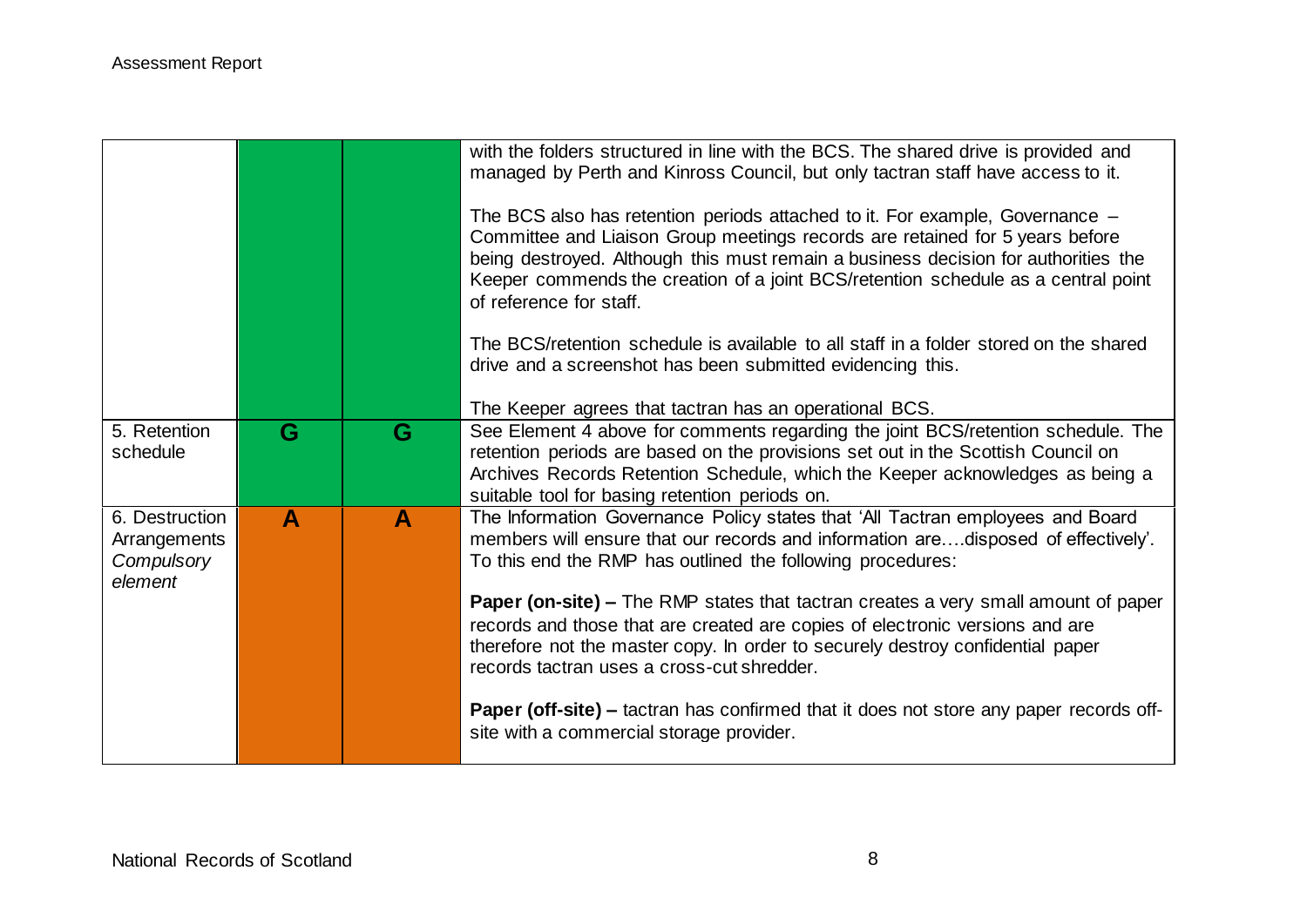|                                                         |   |   | with the folders structured in line with the BCS. The shared drive is provided and<br>managed by Perth and Kinross Council, but only tactran staff have access to it.<br>The BCS also has retention periods attached to it. For example, Governance –<br>Committee and Liaison Group meetings records are retained for 5 years before<br>being destroyed. Although this must remain a business decision for authorities the<br>Keeper commends the creation of a joint BCS/retention schedule as a central point<br>of reference for staff.<br>The BCS/retention schedule is available to all staff in a folder stored on the shared<br>drive and a screenshot has been submitted evidencing this.<br>The Keeper agrees that tactran has an operational BCS. |
|---------------------------------------------------------|---|---|--------------------------------------------------------------------------------------------------------------------------------------------------------------------------------------------------------------------------------------------------------------------------------------------------------------------------------------------------------------------------------------------------------------------------------------------------------------------------------------------------------------------------------------------------------------------------------------------------------------------------------------------------------------------------------------------------------------------------------------------------------------|
| 5. Retention<br>schedule                                | G | G | See Element 4 above for comments regarding the joint BCS/retention schedule. The<br>retention periods are based on the provisions set out in the Scottish Council on<br>Archives Records Retention Schedule, which the Keeper acknowledges as being a<br>suitable tool for basing retention periods on.                                                                                                                                                                                                                                                                                                                                                                                                                                                      |
| 6. Destruction<br>Arrangements<br>Compulsory<br>element | A | A | The Information Governance Policy states that 'All Tactran employees and Board<br>members will ensure that our records and information aredisposed of effectively'.<br>To this end the RMP has outlined the following procedures:<br><b>Paper (on-site) –</b> The RMP states that tactran creates a very small amount of paper<br>records and those that are created are copies of electronic versions and are<br>therefore not the master copy. In order to securely destroy confidential paper                                                                                                                                                                                                                                                             |
|                                                         |   |   | records tactran uses a cross-cut shredder.<br><b>Paper (off-site) –</b> tactran has confirmed that it does not store any paper records off-<br>site with a commercial storage provider.                                                                                                                                                                                                                                                                                                                                                                                                                                                                                                                                                                      |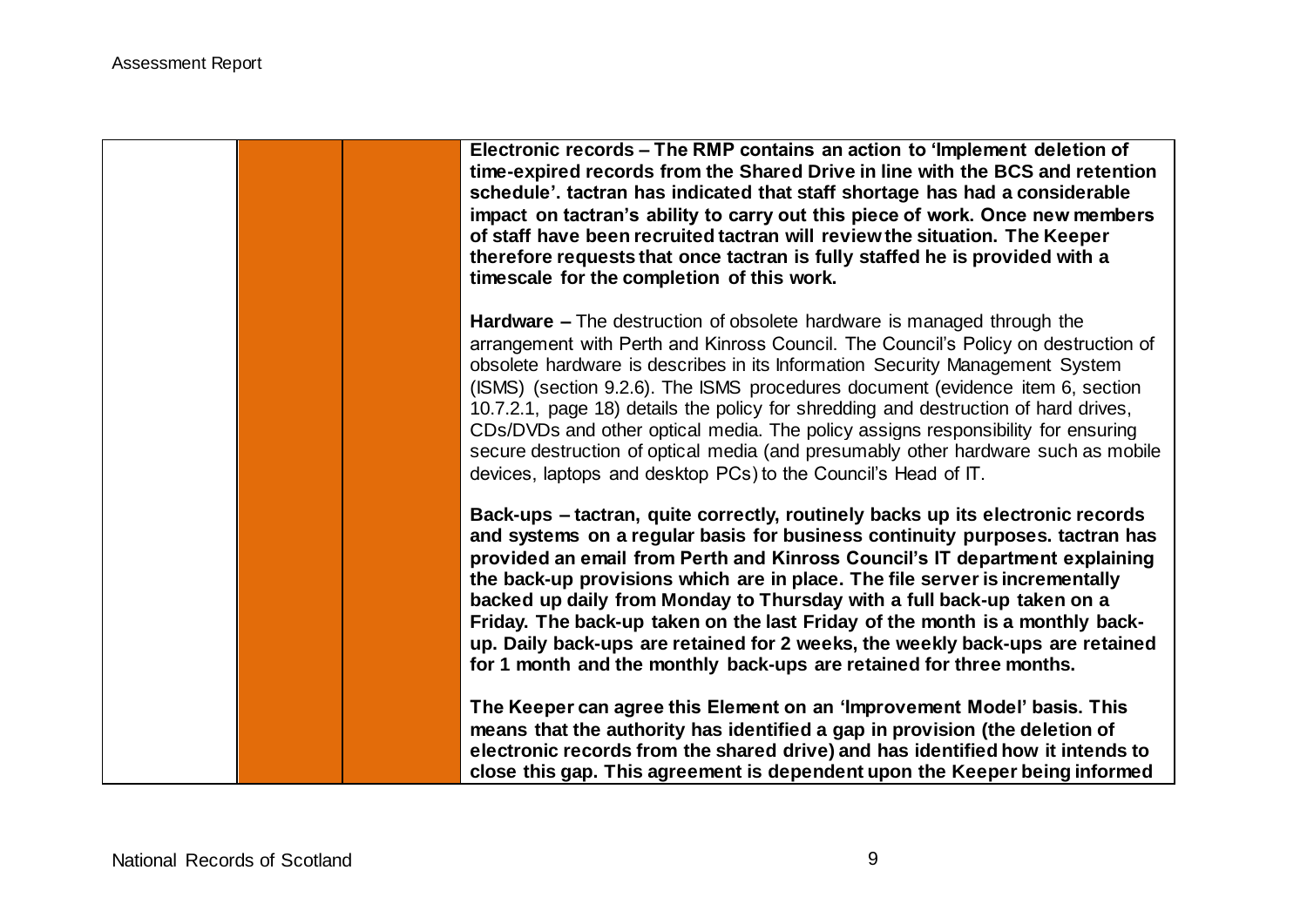|  |  | Electronic records – The RMP contains an action to 'Implement deletion of<br>time-expired records from the Shared Drive in line with the BCS and retention<br>schedule'. tactran has indicated that staff shortage has had a considerable<br>impact on tactran's ability to carry out this piece of work. Once new members<br>of staff have been recruited tactran will review the situation. The Keeper<br>therefore requests that once tactran is fully staffed he is provided with a<br>timescale for the completion of this work.                                                                                                                                   |
|--|--|-------------------------------------------------------------------------------------------------------------------------------------------------------------------------------------------------------------------------------------------------------------------------------------------------------------------------------------------------------------------------------------------------------------------------------------------------------------------------------------------------------------------------------------------------------------------------------------------------------------------------------------------------------------------------|
|  |  | <b>Hardware –</b> The destruction of obsolete hardware is managed through the<br>arrangement with Perth and Kinross Council. The Council's Policy on destruction of<br>obsolete hardware is describes in its Information Security Management System<br>(ISMS) (section 9.2.6). The ISMS procedures document (evidence item 6, section<br>10.7.2.1, page 18) details the policy for shredding and destruction of hard drives,<br>CDs/DVDs and other optical media. The policy assigns responsibility for ensuring<br>secure destruction of optical media (and presumably other hardware such as mobile<br>devices, laptops and desktop PCs) to the Council's Head of IT. |
|  |  | Back-ups - tactran, quite correctly, routinely backs up its electronic records<br>and systems on a regular basis for business continuity purposes. tactran has<br>provided an email from Perth and Kinross Council's IT department explaining<br>the back-up provisions which are in place. The file server is incrementally<br>backed up daily from Monday to Thursday with a full back-up taken on a<br>Friday. The back-up taken on the last Friday of the month is a monthly back-<br>up. Daily back-ups are retained for 2 weeks, the weekly back-ups are retained<br>for 1 month and the monthly back-ups are retained for three months.                          |
|  |  | The Keeper can agree this Element on an 'Improvement Model' basis. This<br>means that the authority has identified a gap in provision (the deletion of<br>electronic records from the shared drive) and has identified how it intends to<br>close this gap. This agreement is dependent upon the Keeper being informed                                                                                                                                                                                                                                                                                                                                                  |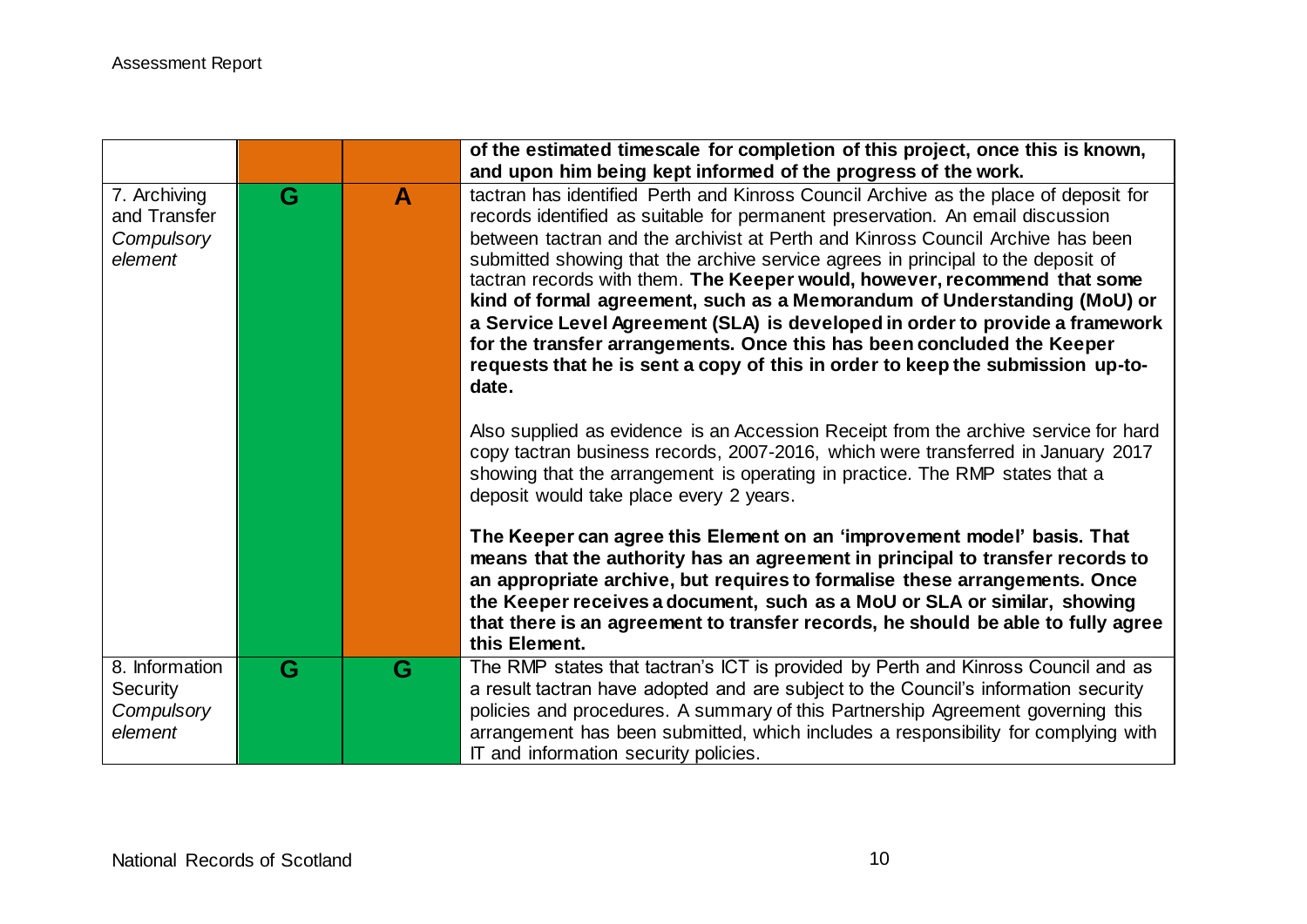|                                                            |   |   | of the estimated timescale for completion of this project, once this is known,                                                                                                                                                                                                                                                                                                                                                                                                                                                                                                                                                                                                                                                                              |
|------------------------------------------------------------|---|---|-------------------------------------------------------------------------------------------------------------------------------------------------------------------------------------------------------------------------------------------------------------------------------------------------------------------------------------------------------------------------------------------------------------------------------------------------------------------------------------------------------------------------------------------------------------------------------------------------------------------------------------------------------------------------------------------------------------------------------------------------------------|
|                                                            |   |   | and upon him being kept informed of the progress of the work.                                                                                                                                                                                                                                                                                                                                                                                                                                                                                                                                                                                                                                                                                               |
| 7. Archiving<br>and Transfer<br>Compulsory<br>element      | G | A | tactran has identified Perth and Kinross Council Archive as the place of deposit for<br>records identified as suitable for permanent preservation. An email discussion<br>between tactran and the archivist at Perth and Kinross Council Archive has been<br>submitted showing that the archive service agrees in principal to the deposit of<br>tactran records with them. The Keeper would, however, recommend that some<br>kind of formal agreement, such as a Memorandum of Understanding (MoU) or<br>a Service Level Agreement (SLA) is developed in order to provide a framework<br>for the transfer arrangements. Once this has been concluded the Keeper<br>requests that he is sent a copy of this in order to keep the submission up-to-<br>date. |
|                                                            |   |   | Also supplied as evidence is an Accession Receipt from the archive service for hard<br>copy tactran business records, 2007-2016, which were transferred in January 2017<br>showing that the arrangement is operating in practice. The RMP states that a<br>deposit would take place every 2 years.                                                                                                                                                                                                                                                                                                                                                                                                                                                          |
|                                                            |   |   | The Keeper can agree this Element on an 'improvement model' basis. That<br>means that the authority has an agreement in principal to transfer records to<br>an appropriate archive, but requires to formalise these arrangements. Once<br>the Keeper receives a document, such as a MoU or SLA or similar, showing<br>that there is an agreement to transfer records, he should be able to fully agree<br>this Element.                                                                                                                                                                                                                                                                                                                                     |
| 8. Information<br><b>Security</b><br>Compulsory<br>element | G | G | The RMP states that tactran's ICT is provided by Perth and Kinross Council and as<br>a result tactran have adopted and are subject to the Council's information security<br>policies and procedures. A summary of this Partnership Agreement governing this<br>arrangement has been submitted, which includes a responsibility for complying with<br>IT and information security policies.                                                                                                                                                                                                                                                                                                                                                                  |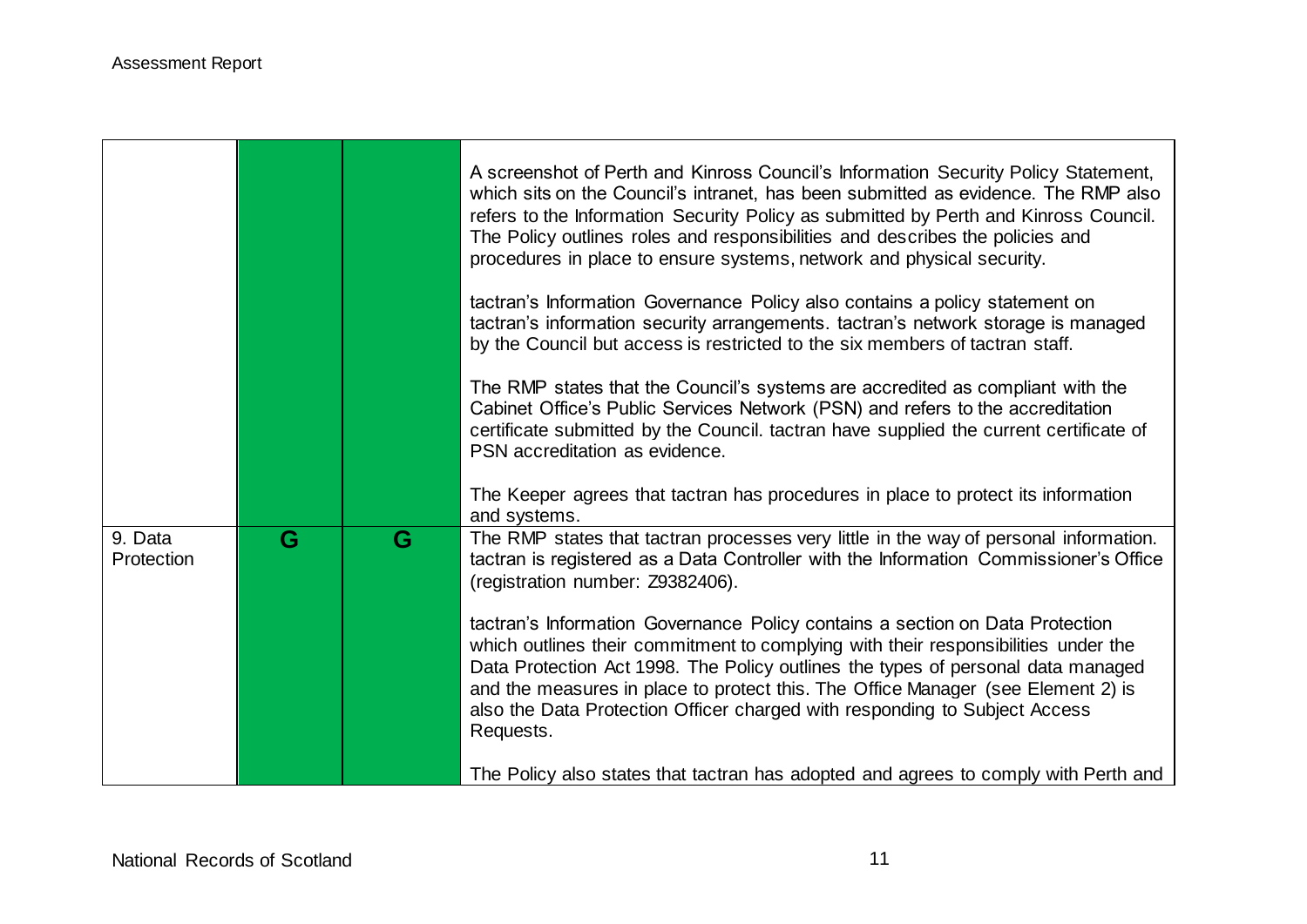|                       |   |   | A screenshot of Perth and Kinross Council's Information Security Policy Statement,<br>which sits on the Council's intranet, has been submitted as evidence. The RMP also<br>refers to the Information Security Policy as submitted by Perth and Kinross Council.<br>The Policy outlines roles and responsibilities and describes the policies and<br>procedures in place to ensure systems, network and physical security.             |
|-----------------------|---|---|----------------------------------------------------------------------------------------------------------------------------------------------------------------------------------------------------------------------------------------------------------------------------------------------------------------------------------------------------------------------------------------------------------------------------------------|
|                       |   |   | tactran's Information Governance Policy also contains a policy statement on<br>tactran's information security arrangements. tactran's network storage is managed<br>by the Council but access is restricted to the six members of tactran staff.                                                                                                                                                                                       |
|                       |   |   | The RMP states that the Council's systems are accredited as compliant with the<br>Cabinet Office's Public Services Network (PSN) and refers to the accreditation<br>certificate submitted by the Council. tactran have supplied the current certificate of<br>PSN accreditation as evidence.                                                                                                                                           |
|                       |   |   | The Keeper agrees that tactran has procedures in place to protect its information<br>and systems.                                                                                                                                                                                                                                                                                                                                      |
| 9. Data<br>Protection | G | G | The RMP states that tactran processes very little in the way of personal information.<br>tactran is registered as a Data Controller with the Information Commissioner's Office<br>(registration number: Z9382406).                                                                                                                                                                                                                     |
|                       |   |   | tactran's Information Governance Policy contains a section on Data Protection<br>which outlines their commitment to complying with their responsibilities under the<br>Data Protection Act 1998. The Policy outlines the types of personal data managed<br>and the measures in place to protect this. The Office Manager (see Element 2) is<br>also the Data Protection Officer charged with responding to Subject Access<br>Requests. |
|                       |   |   | The Policy also states that tactran has adopted and agrees to comply with Perth and                                                                                                                                                                                                                                                                                                                                                    |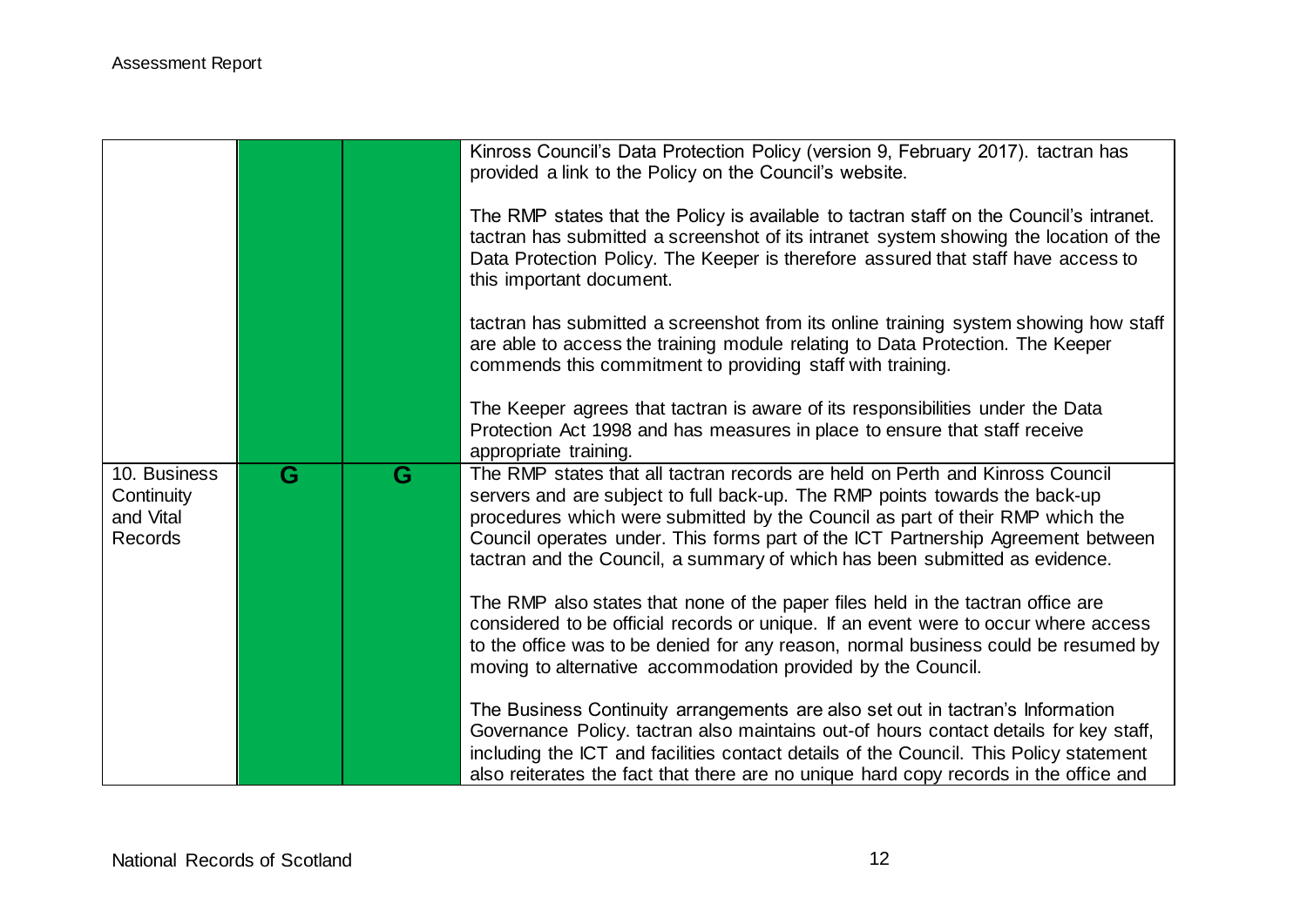|                                                    |   |   | Kinross Council's Data Protection Policy (version 9, February 2017). tactran has<br>provided a link to the Policy on the Council's website.<br>The RMP states that the Policy is available to tactran staff on the Council's intranet.<br>tactran has submitted a screenshot of its intranet system showing the location of the<br>Data Protection Policy. The Keeper is therefore assured that staff have access to<br>this important document.<br>tactran has submitted a screenshot from its online training system showing how staff<br>are able to access the training module relating to Data Protection. The Keeper<br>commends this commitment to providing staff with training. |
|----------------------------------------------------|---|---|------------------------------------------------------------------------------------------------------------------------------------------------------------------------------------------------------------------------------------------------------------------------------------------------------------------------------------------------------------------------------------------------------------------------------------------------------------------------------------------------------------------------------------------------------------------------------------------------------------------------------------------------------------------------------------------|
|                                                    |   |   | The Keeper agrees that tactran is aware of its responsibilities under the Data<br>Protection Act 1998 and has measures in place to ensure that staff receive<br>appropriate training.                                                                                                                                                                                                                                                                                                                                                                                                                                                                                                    |
| 10. Business<br>Continuity<br>and Vital<br>Records | G | G | The RMP states that all tactran records are held on Perth and Kinross Council<br>servers and are subject to full back-up. The RMP points towards the back-up<br>procedures which were submitted by the Council as part of their RMP which the<br>Council operates under. This forms part of the ICT Partnership Agreement between<br>tactran and the Council, a summary of which has been submitted as evidence.                                                                                                                                                                                                                                                                         |
|                                                    |   |   | The RMP also states that none of the paper files held in the tactran office are<br>considered to be official records or unique. If an event were to occur where access<br>to the office was to be denied for any reason, normal business could be resumed by<br>moving to alternative accommodation provided by the Council.                                                                                                                                                                                                                                                                                                                                                             |
|                                                    |   |   | The Business Continuity arrangements are also set out in tactran's Information<br>Governance Policy. tactran also maintains out-of hours contact details for key staff,<br>including the ICT and facilities contact details of the Council. This Policy statement<br>also reiterates the fact that there are no unique hard copy records in the office and                                                                                                                                                                                                                                                                                                                               |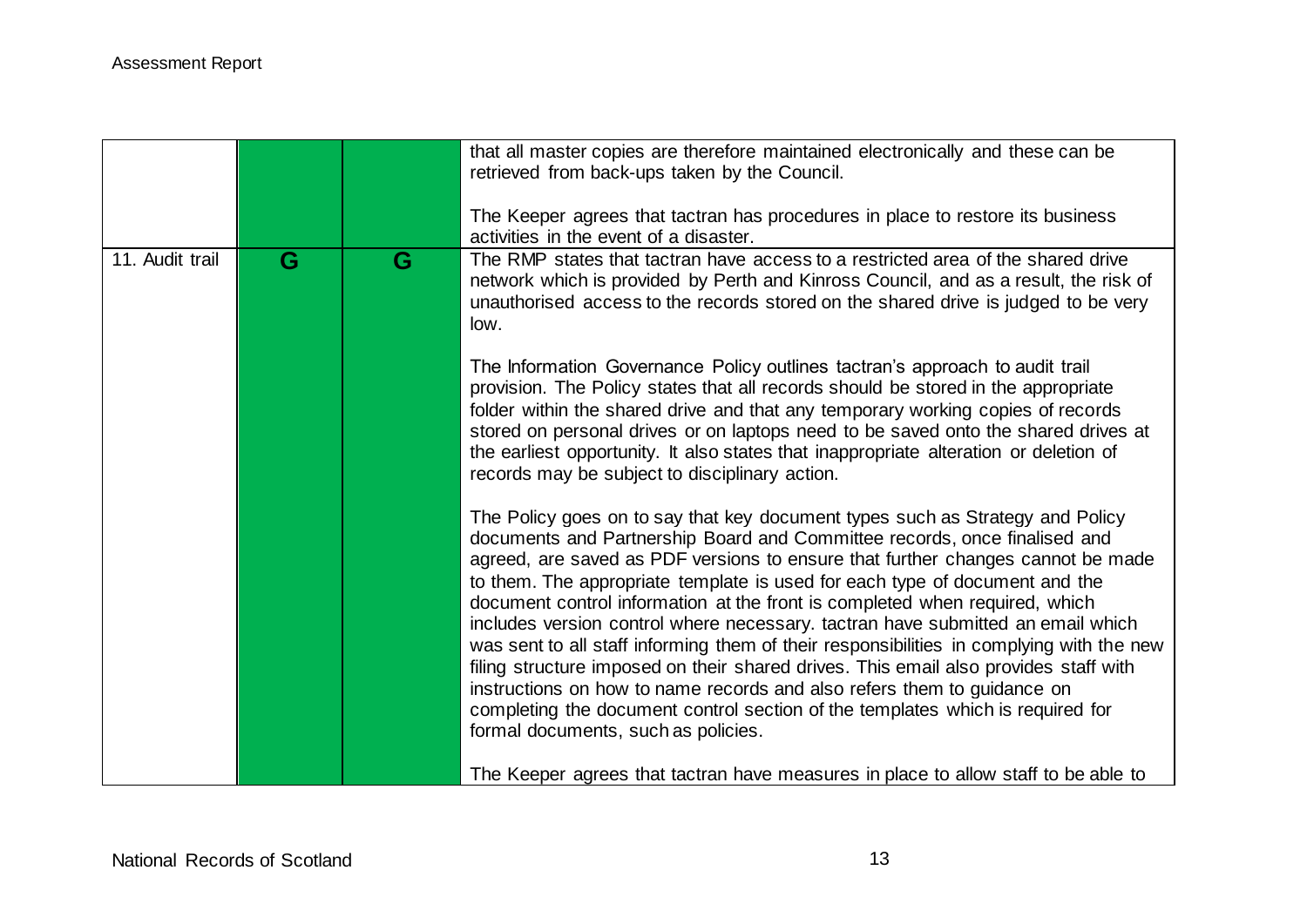|                 |   |   | that all master copies are therefore maintained electronically and these can be<br>retrieved from back-ups taken by the Council.<br>The Keeper agrees that tactran has procedures in place to restore its business                                                                                                                                                                                                                                                                                                                                                                                                                                                                                                                                                                                                                                                                     |
|-----------------|---|---|----------------------------------------------------------------------------------------------------------------------------------------------------------------------------------------------------------------------------------------------------------------------------------------------------------------------------------------------------------------------------------------------------------------------------------------------------------------------------------------------------------------------------------------------------------------------------------------------------------------------------------------------------------------------------------------------------------------------------------------------------------------------------------------------------------------------------------------------------------------------------------------|
| 11. Audit trail | G | G | activities in the event of a disaster.<br>The RMP states that tactran have access to a restricted area of the shared drive<br>network which is provided by Perth and Kinross Council, and as a result, the risk of<br>unauthorised access to the records stored on the shared drive is judged to be very<br>low.                                                                                                                                                                                                                                                                                                                                                                                                                                                                                                                                                                       |
|                 |   |   | The Information Governance Policy outlines tactran's approach to audit trail<br>provision. The Policy states that all records should be stored in the appropriate<br>folder within the shared drive and that any temporary working copies of records<br>stored on personal drives or on laptops need to be saved onto the shared drives at<br>the earliest opportunity. It also states that inappropriate alteration or deletion of<br>records may be subject to disciplinary action.                                                                                                                                                                                                                                                                                                                                                                                                  |
|                 |   |   | The Policy goes on to say that key document types such as Strategy and Policy<br>documents and Partnership Board and Committee records, once finalised and<br>agreed, are saved as PDF versions to ensure that further changes cannot be made<br>to them. The appropriate template is used for each type of document and the<br>document control information at the front is completed when required, which<br>includes version control where necessary. tactran have submitted an email which<br>was sent to all staff informing them of their responsibilities in complying with the new<br>filing structure imposed on their shared drives. This email also provides staff with<br>instructions on how to name records and also refers them to guidance on<br>completing the document control section of the templates which is required for<br>formal documents, such as policies. |
|                 |   |   | The Keeper agrees that tactran have measures in place to allow staff to be able to                                                                                                                                                                                                                                                                                                                                                                                                                                                                                                                                                                                                                                                                                                                                                                                                     |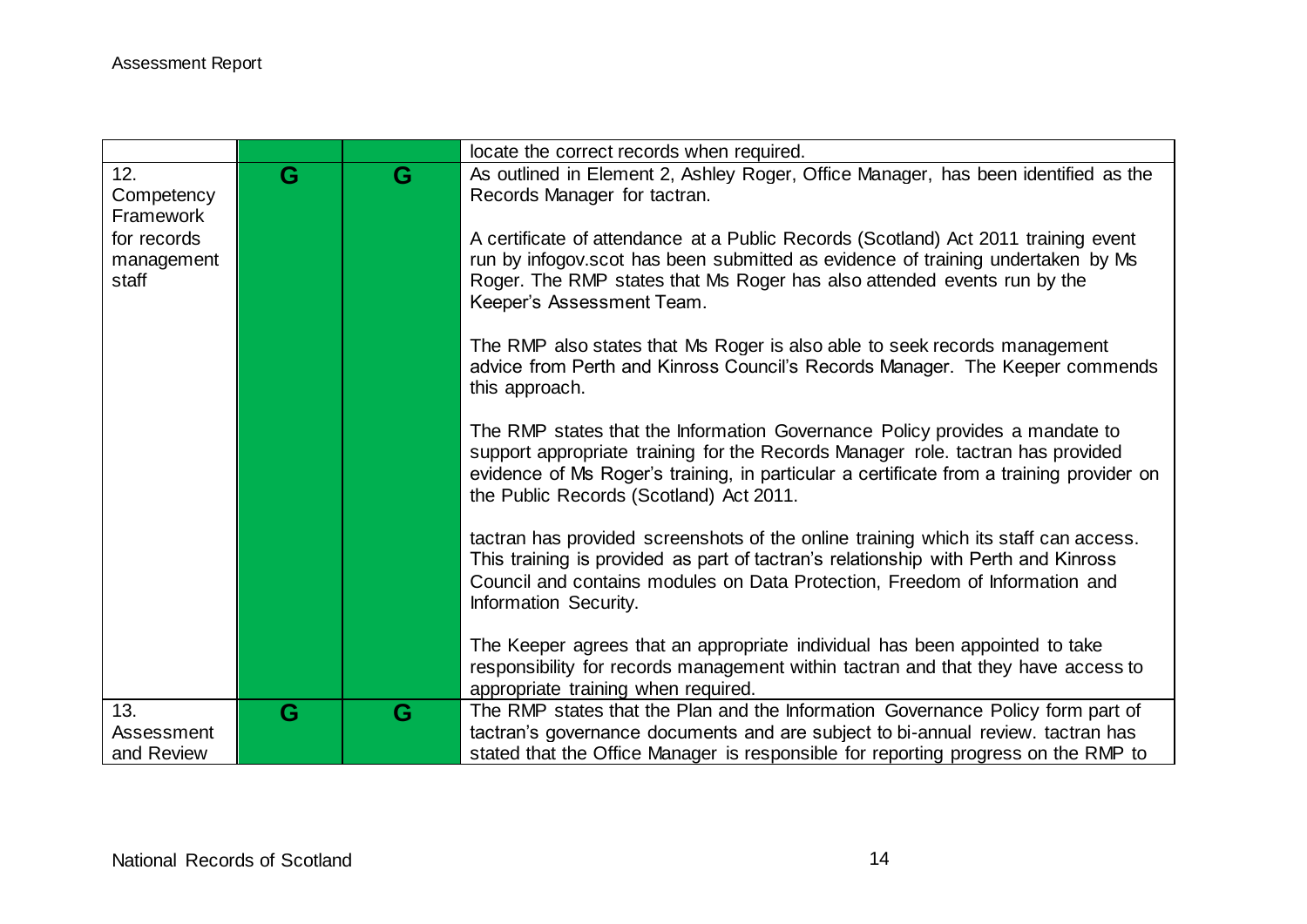|                     |   |   | locate the correct records when required.                                                                                                                      |
|---------------------|---|---|----------------------------------------------------------------------------------------------------------------------------------------------------------------|
| 12.                 | G | G | As outlined in Element 2, Ashley Roger, Office Manager, has been identified as the                                                                             |
| Competency          |   |   | Records Manager for tactran.                                                                                                                                   |
| Framework           |   |   |                                                                                                                                                                |
| for records         |   |   | A certificate of attendance at a Public Records (Scotland) Act 2011 training event                                                                             |
| management<br>staff |   |   | run by infogov scot has been submitted as evidence of training undertaken by Ms<br>Roger. The RMP states that Ms Roger has also attended events run by the     |
|                     |   |   | Keeper's Assessment Team.                                                                                                                                      |
|                     |   |   |                                                                                                                                                                |
|                     |   |   | The RMP also states that Ms Roger is also able to seek records management                                                                                      |
|                     |   |   | advice from Perth and Kinross Council's Records Manager. The Keeper commends                                                                                   |
|                     |   |   | this approach.                                                                                                                                                 |
|                     |   |   |                                                                                                                                                                |
|                     |   |   | The RMP states that the Information Governance Policy provides a mandate to<br>support appropriate training for the Records Manager role. tactran has provided |
|                     |   |   | evidence of Ms Roger's training, in particular a certificate from a training provider on                                                                       |
|                     |   |   | the Public Records (Scotland) Act 2011.                                                                                                                        |
|                     |   |   |                                                                                                                                                                |
|                     |   |   | tactran has provided screenshots of the online training which its staff can access.                                                                            |
|                     |   |   | This training is provided as part of tactran's relationship with Perth and Kinross                                                                             |
|                     |   |   | Council and contains modules on Data Protection, Freedom of Information and                                                                                    |
|                     |   |   | Information Security.                                                                                                                                          |
|                     |   |   | The Keeper agrees that an appropriate individual has been appointed to take                                                                                    |
|                     |   |   | responsibility for records management within tactran and that they have access to                                                                              |
|                     |   |   | appropriate training when required.                                                                                                                            |
| 13.                 | G | G | The RMP states that the Plan and the Information Governance Policy form part of                                                                                |
| Assessment          |   |   | tactran's governance documents and are subject to bi-annual review. tactran has                                                                                |
| and Review          |   |   | stated that the Office Manager is responsible for reporting progress on the RMP to                                                                             |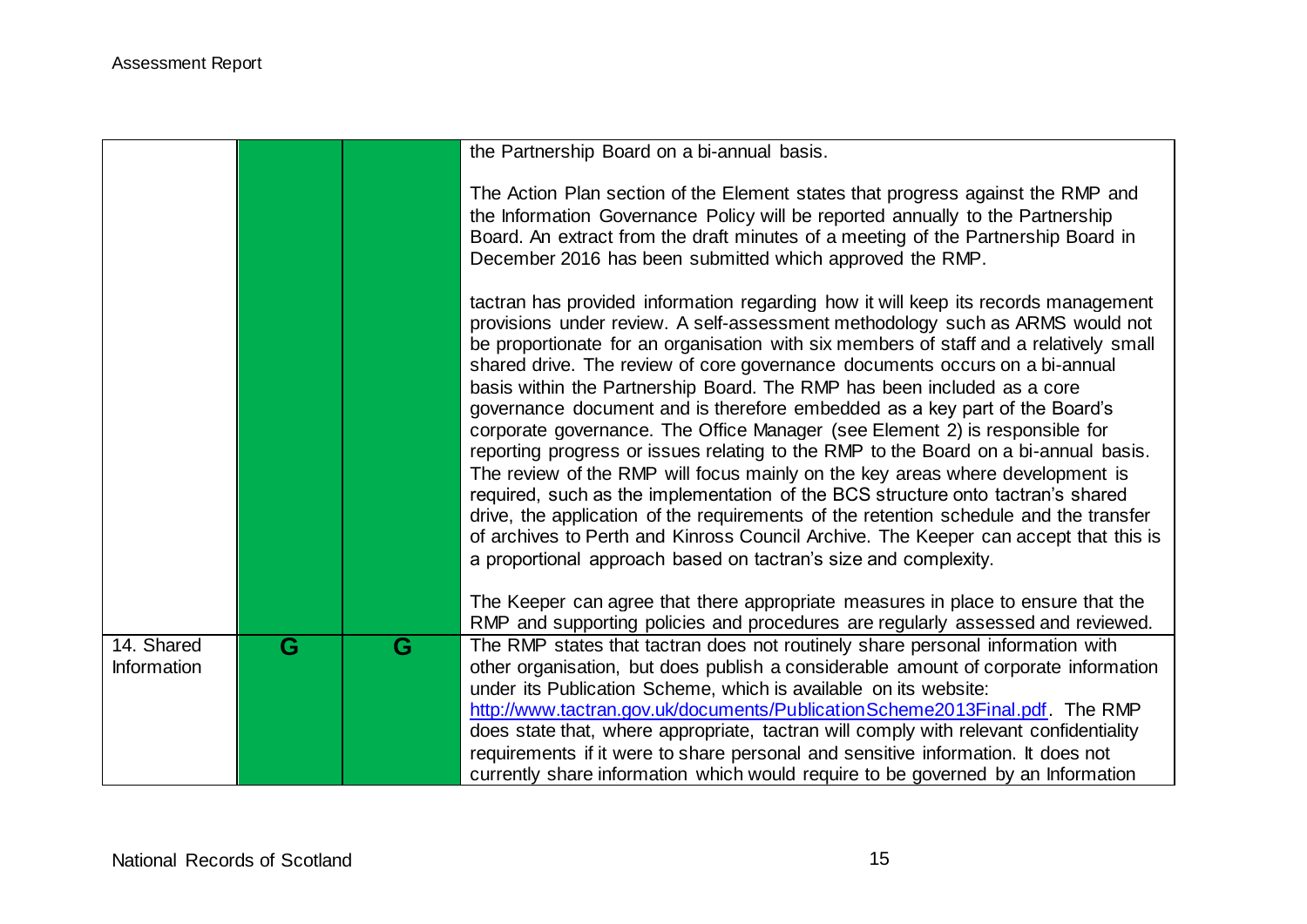|                           |   |   | the Partnership Board on a bi-annual basis.                                                                                                                                                                                                                                                                                                                                                                                                                                                                                                                                                                                                                                                                                                                                                                                                                                                                                                                                                                                                                                                        |
|---------------------------|---|---|----------------------------------------------------------------------------------------------------------------------------------------------------------------------------------------------------------------------------------------------------------------------------------------------------------------------------------------------------------------------------------------------------------------------------------------------------------------------------------------------------------------------------------------------------------------------------------------------------------------------------------------------------------------------------------------------------------------------------------------------------------------------------------------------------------------------------------------------------------------------------------------------------------------------------------------------------------------------------------------------------------------------------------------------------------------------------------------------------|
|                           |   |   | The Action Plan section of the Element states that progress against the RMP and<br>the Information Governance Policy will be reported annually to the Partnership<br>Board. An extract from the draft minutes of a meeting of the Partnership Board in<br>December 2016 has been submitted which approved the RMP.                                                                                                                                                                                                                                                                                                                                                                                                                                                                                                                                                                                                                                                                                                                                                                                 |
|                           |   |   | tactran has provided information regarding how it will keep its records management<br>provisions under review. A self-assessment methodology such as ARMS would not<br>be proportionate for an organisation with six members of staff and a relatively small<br>shared drive. The review of core governance documents occurs on a bi-annual<br>basis within the Partnership Board. The RMP has been included as a core<br>governance document and is therefore embedded as a key part of the Board's<br>corporate governance. The Office Manager (see Element 2) is responsible for<br>reporting progress or issues relating to the RMP to the Board on a bi-annual basis.<br>The review of the RMP will focus mainly on the key areas where development is<br>required, such as the implementation of the BCS structure onto tactran's shared<br>drive, the application of the requirements of the retention schedule and the transfer<br>of archives to Perth and Kinross Council Archive. The Keeper can accept that this is<br>a proportional approach based on tactran's size and complexity. |
|                           |   |   | The Keeper can agree that there appropriate measures in place to ensure that the<br>RMP and supporting policies and procedures are regularly assessed and reviewed.                                                                                                                                                                                                                                                                                                                                                                                                                                                                                                                                                                                                                                                                                                                                                                                                                                                                                                                                |
| 14. Shared<br>Information | G | G | The RMP states that tactran does not routinely share personal information with<br>other organisation, but does publish a considerable amount of corporate information<br>under its Publication Scheme, which is available on its website:<br>http://www.tactran.gov.uk/documents/PublicationScheme2013Final.pdf. The RMP                                                                                                                                                                                                                                                                                                                                                                                                                                                                                                                                                                                                                                                                                                                                                                           |
|                           |   |   | does state that, where appropriate, tactran will comply with relevant confidentiality<br>requirements if it were to share personal and sensitive information. It does not<br>currently share information which would require to be governed by an Information                                                                                                                                                                                                                                                                                                                                                                                                                                                                                                                                                                                                                                                                                                                                                                                                                                      |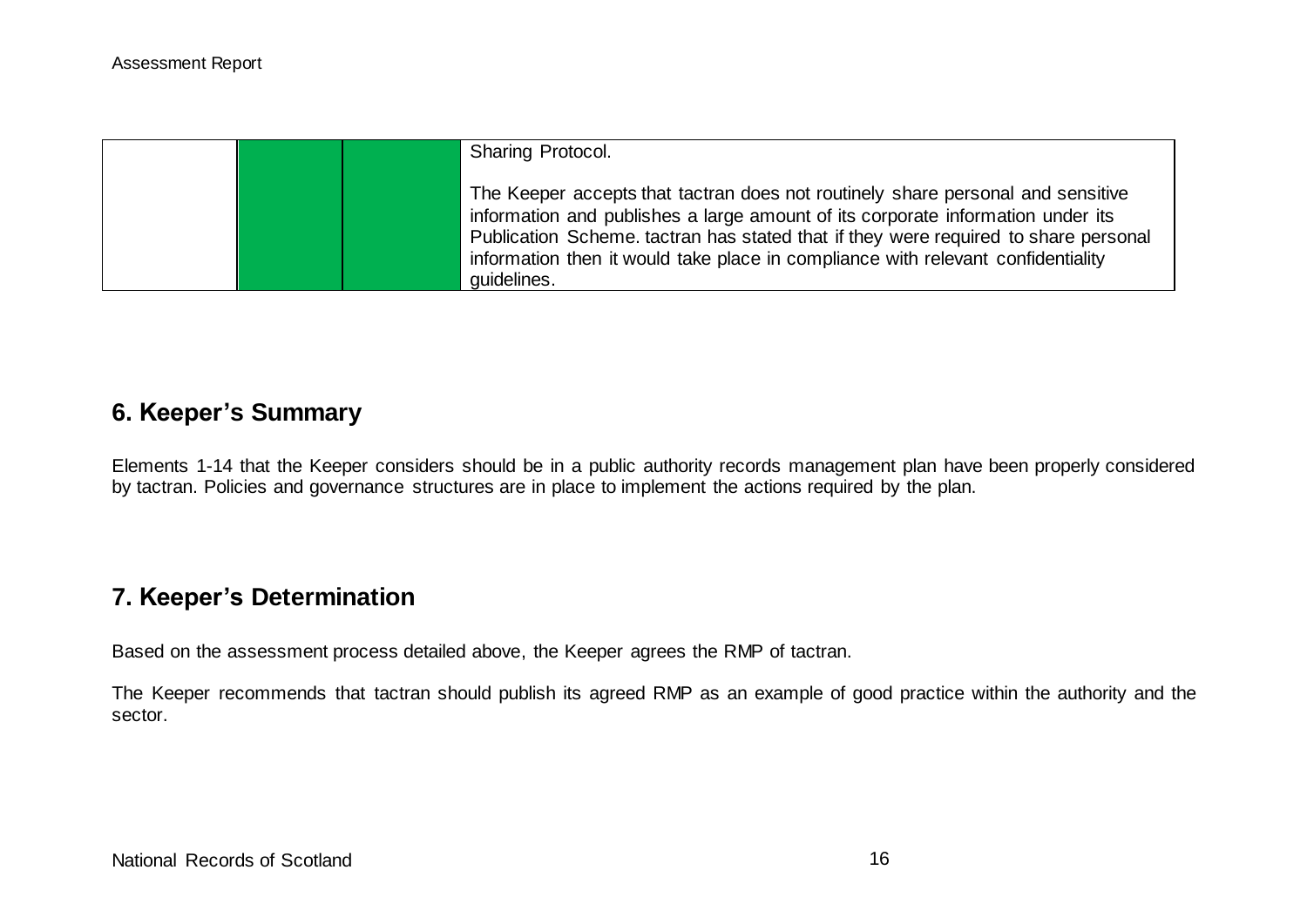| <b>Sharing Protocol.</b>                                                                                                                                                                                                                                                                                                                                     |  |
|--------------------------------------------------------------------------------------------------------------------------------------------------------------------------------------------------------------------------------------------------------------------------------------------------------------------------------------------------------------|--|
| The Keeper accepts that tactran does not routinely share personal and sensitive<br>information and publishes a large amount of its corporate information under its<br>Publication Scheme. tactran has stated that if they were required to share personal<br>information then it would take place in compliance with relevant confidentiality<br>quidelines. |  |

## **6. Keeper's Summary**

Elements 1-14 that the Keeper considers should be in a public authority records management plan have been properly considered by tactran. Policies and governance structures are in place to implement the actions required by the plan.

# **7. Keeper's Determination**

Based on the assessment process detailed above, the Keeper agrees the RMP of tactran.

The Keeper recommends that tactran should publish its agreed RMP as an example of good practice within the authority and the sector.